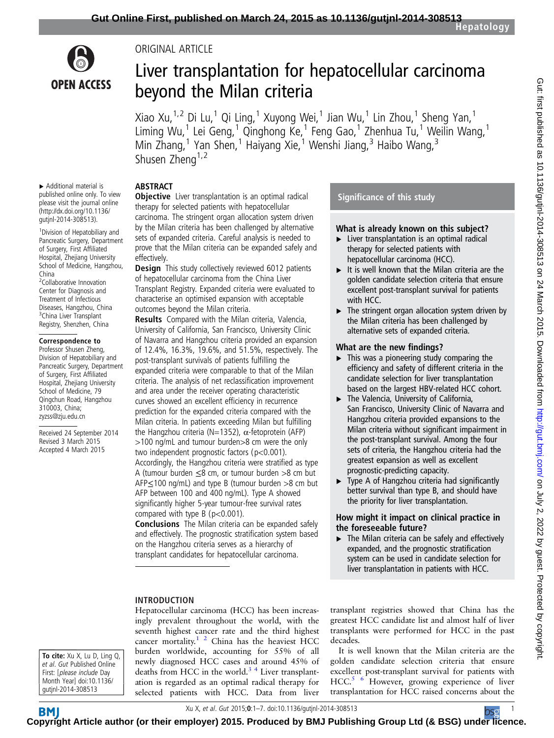

# ORIGINAL ARTICLE

# Liver transplantation for hepatocellular carcinoma beyond the Milan criteria

Xiao Xu,<sup>1,2</sup> Di Lu,<sup>1</sup> Qi Ling,<sup>1</sup> Xuyong Wei,<sup>1</sup> Jian Wu,<sup>1</sup> Lin Zhou,<sup>1</sup> Sheng Yan,<sup>1</sup> Liming Wu,<sup>1</sup> Lei Geng,<sup>1</sup> Qinghong Ke,<sup>1</sup> Feng Gao,<sup>1</sup> Zhenhua Tu,<sup>1</sup> Weilin Wang,<sup>1</sup> Min Zhang,<sup>1</sup> Yan Shen,<sup>1</sup> Haiyang Xie,<sup>1</sup> Wenshi Jiang,<sup>3</sup> Haibo Wang,<sup>3</sup> Shusen Zheng<sup>1,2</sup>

# ABSTRACT

▸ Additional material is published online only. To view please visit the journal online [\(http://dx.doi.org/10.1136/](http://dx.doi.org/10.1136/gutjnl-2014-308513) [gutjnl-2014-308513](http://dx.doi.org/10.1136/gutjnl-2014-308513)).

<sup>1</sup> Division of Hepatobiliary and Pancreatic Surgery, Department of Surgery, First Affiliated Hospital, Zhejiang University School of Medicine, Hangzhou, China

<sup>2</sup>Collaborative Innovation Center for Diagnosis and Treatment of Infectious Diseases, Hangzhou, China <sup>3</sup>China Liver Transplant Registry, Shenzhen, China

#### Correspondence to

Professor Shusen Zheng, Division of Hepatobiliary and Pancreatic Surgery, Department of Surgery, First Affiliated Hospital, Zhejiang University School of Medicine, 79 Qingchun Road, Hangzhou 310003, China; zyzss@zju.edu.cn

Received 24 September 2014 Revised 3 March 2015 Accepted 4 March 2015

**Objective** Liver transplantation is an optimal radical therapy for selected patients with hepatocellular carcinoma. The stringent organ allocation system driven by the Milan criteria has been challenged by alternative sets of expanded criteria. Careful analysis is needed to prove that the Milan criteria can be expanded safely and effectively.

**Design** This study collectively reviewed 6012 patients of hepatocellular carcinoma from the China Liver Transplant Registry. Expanded criteria were evaluated to characterise an optimised expansion with acceptable outcomes beyond the Milan criteria.

Results Compared with the Milan criteria, Valencia, University of California, San Francisco, University Clinic of Navarra and Hangzhou criteria provided an expansion of 12.4%, 16.3%, 19.6%, and 51.5%, respectively. The post-transplant survivals of patients fulfilling the expanded criteria were comparable to that of the Milan criteria. The analysis of net reclassification improvement and area under the receiver operating characteristic curves showed an excellent efficiency in recurrence prediction for the expanded criteria compared with the Milan criteria. In patients exceeding Milan but fulfilling the Hangzhou criteria (N=1352),  $α$ -fetoprotein (AFP) >100 ng/mL and tumour burden>8 cm were the only two independent prognostic factors (p<0.001). Accordingly, the Hangzhou criteria were stratified as type A (tumour burden  $\leq$ 8 cm, or tumour burden  $>$ 8 cm but AFP≤100 ng/mL) and type B (tumour burden >8 cm but AFP between 100 and 400 ng/mL). Type A showed significantly higher 5-year tumour-free survival rates compared with type B ( $p<0.001$ ).

Conclusions The Milan criteria can be expanded safely and effectively. The prognostic stratification system based on the Hangzhou criteria serves as a hierarchy of transplant candidates for hepatocellular carcinoma.

# Significance of this study

## What is already known on this subject?

- ▶ Liver transplantation is an optimal radical therapy for selected patients with hepatocellular carcinoma (HCC).
- $\blacktriangleright$  It is well known that the Milan criteria are the golden candidate selection criteria that ensure excellent post-transplant survival for patients with HCC.
- $\blacktriangleright$  The stringent organ allocation system driven by the Milan criteria has been challenged by alternative sets of expanded criteria.

# What are the new findings?

- $\triangleright$  This was a pioneering study comparing the efficiency and safety of different criteria in the candidate selection for liver transplantation based on the largest HBV-related HCC cohort.
- ▸ The Valencia, University of California, San Francisco, University Clinic of Navarra and Hangzhou criteria provided expansions to the Milan criteria without significant impairment in the post-transplant survival. Among the four sets of criteria, the Hangzhou criteria had the greatest expansion as well as excellent prognostic-predicting capacity.
- ▶ Type A of Hangzhou criteria had significantly better survival than type B, and should have the priority for liver transplantation.

## How might it impact on clinical practice in the foreseeable future?

 $\triangleright$  The Milan criteria can be safely and effectively expanded, and the prognostic stratification system can be used in candidate selection for liver transplantation in patients with HCC.

# INTRODUCTION

Hepatocellular carcinoma (HCC) has been increasingly prevalent throughout the world, with the seventh highest cancer rate and the third highest cancer mortality.<sup>1</sup> <sup>2</sup> China has the heaviest HCC burden worldwide, accounting for 55% of all newly diagnosed HCC cases and around 45% of deaths from HCC in the world.<sup>3</sup> <sup>4</sup> Liver transplantation is regarded as an optimal radical therapy for selected patients with HCC. Data from liver

transplant registries showed that China has the greatest HCC candidate list and almost half of liver transplants were performed for HCC in the past decades.

It is well known that the Milan criteria are the golden candidate selection criteria that ensure excellent post-transplant survival for patients with  $HCC<sup>5</sup>$  6 However, growing experience of liver transplantation for HCC raised concerns about the

To cite: Xu X, Lu D, Ling Q, et al. Gut Published Online First: [please include Day Month Year] doi:10.1136/ gutjnl-2014-308513

Xu X, et al. Gut 2015;0:1–7. doi:10.1136/gutjnl-2014-308513 1

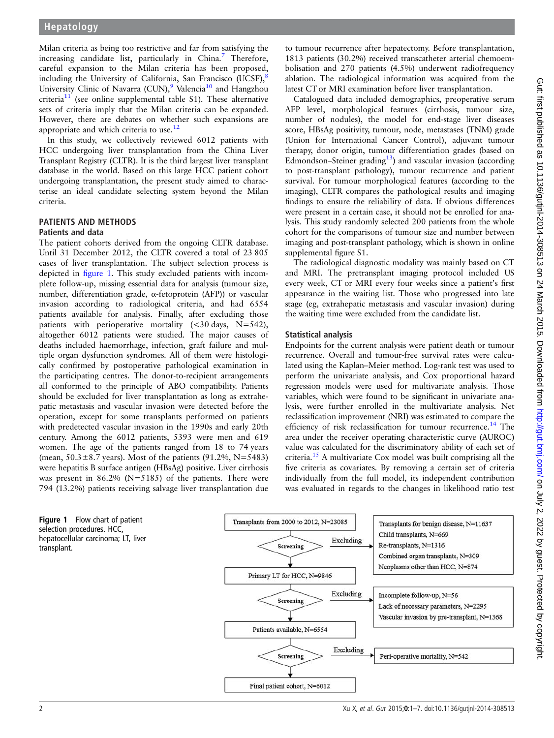Milan criteria as being too restrictive and far from satisfying the increasing candidate list, particularly in China.<sup>[7](#page-6-0)</sup> Therefore, careful expansion to the Milan criteria has been proposed, including the University of California, San Francisco (UCSF), $\frac{8}{3}$  $\frac{8}{3}$  $\frac{8}{3}$ University Clinic of Navarra (CUN),<sup>[9](#page-6-0)</sup> Valencia<sup>[10](#page-6-0)</sup> and Hangzhou criteria $11$  (see online supplemental table S1). These alternative sets of criteria imply that the Milan criteria can be expanded. However, there are debates on whether such expansions are appropriate and which criteria to use.<sup>[12](#page-6-0)</sup>

In this study, we collectively reviewed 6012 patients with HCC undergoing liver transplantation from the China Liver Transplant Registry (CLTR). It is the third largest liver transplant database in the world. Based on this large HCC patient cohort undergoing transplantation, the present study aimed to characterise an ideal candidate selecting system beyond the Milan criteria.

## PATIENTS AND METHODS

#### Patients and data

The patient cohorts derived from the ongoing CLTR database. Until 31 December 2012, the CLTR covered a total of 23 805 cases of liver transplantation. The subject selection process is depicted in figure 1. This study excluded patients with incomplete follow-up, missing essential data for analysis (tumour size, number, differentiation grade, α-fetoprotein (AFP)) or vascular invasion according to radiological criteria, and had 6554 patients available for analysis. Finally, after excluding those patients with perioperative mortality (<30 days, N=542), altogether 6012 patients were studied. The major causes of deaths included haemorrhage, infection, graft failure and multiple organ dysfunction syndromes. All of them were histologically confirmed by postoperative pathological examination in the participating centres. The donor-to-recipient arrangements all conformed to the principle of ABO compatibility. Patients should be excluded for liver transplantation as long as extrahepatic metastasis and vascular invasion were detected before the operation, except for some transplants performed on patients with predetected vascular invasion in the 1990s and early 20th century. Among the 6012 patients, 5393 were men and 619 women. The age of the patients ranged from 18 to 74 years (mean,  $50.3 \pm 8.7$  years). Most of the patients (91.2%, N=5483) were hepatitis B surface antigen (HBsAg) positive. Liver cirrhosis was present in 86.2% (N=5185) of the patients. There were 794 (13.2%) patients receiving salvage liver transplantation due

to tumour recurrence after hepatectomy. Before transplantation, 1813 patients (30.2%) received transcatheter arterial chemoembolisation and 270 patients (4.5%) underwent radiofrequency ablation. The radiological information was acquired from the latest CT or MRI examination before liver transplantation.

Catalogued data included demographics, preoperative serum AFP level, morphological features (cirrhosis, tumour size, number of nodules), the model for end-stage liver diseases score, HBsAg positivity, tumour, node, metastases (TNM) grade (Union for International Cancer Control), adjuvant tumour therapy, donor origin, tumour differentiation grades (based on Edmondson–Steiner grading $13$ ) and vascular invasion (according to post-transplant pathology), tumour recurrence and patient survival. For tumour morphological features (according to the imaging), CLTR compares the pathological results and imaging findings to ensure the reliability of data. If obvious differences were present in a certain case, it should not be enrolled for analysis. This study randomly selected 200 patients from the whole cohort for the comparisons of tumour size and number between imaging and post-transplant pathology, which is shown in online supplemental figure S1.

The radiological diagnostic modality was mainly based on CT and MRI. The pretransplant imaging protocol included US every week, CT or MRI every four weeks since a patient's first appearance in the waiting list. Those who progressed into late stage (eg, extrahepatic metastasis and vascular invasion) during the waiting time were excluded from the candidate list.

#### Statistical analysis

Endpoints for the current analysis were patient death or tumour recurrence. Overall and tumour-free survival rates were calculated using the Kaplan–Meier method. Log-rank test was used to perform the univariate analysis, and Cox proportional hazard regression models were used for multivariate analysis. Those variables, which were found to be significant in univariate analysis, were further enrolled in the multivariate analysis. Net reclassification improvement (NRI) was estimated to compare the efficiency of risk reclassification for tumour recurrence.<sup>[14](#page-6-0)</sup> The area under the receiver operating characteristic curve (AUROC) value was calculated for the discriminatory ability of each set of criteria.[15](#page-6-0) A multivariate Cox model was built comprising all the five criteria as covariates. By removing a certain set of criteria individually from the full model, its independent contribution was evaluated in regards to the changes in likelihood ratio test

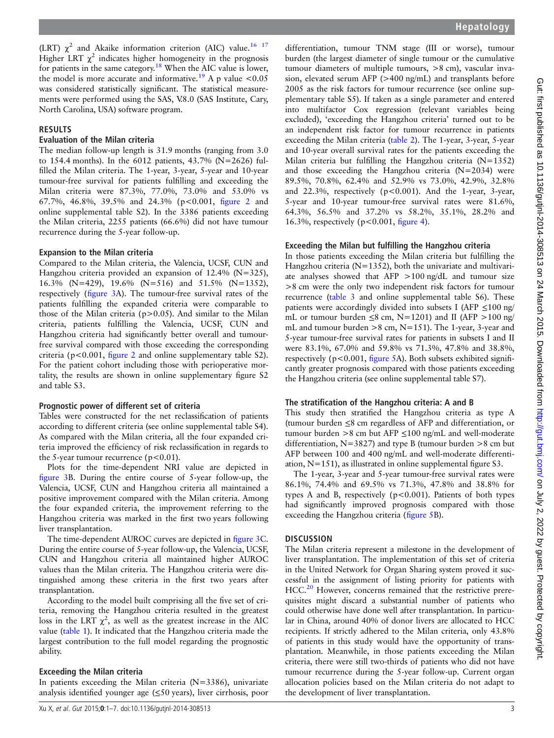(LRT)  $\chi^2$  and Akaike information criterion (AIC) value.<sup>16</sup> <sup>17</sup> Higher LRT  $\chi^2$  indicates higher homogeneity in the prognosis for patients in the same category.<sup>[18](#page-6-0)</sup> When the AIC value is lower, the model is more accurate and informative.<sup>[19](#page-6-0)</sup> A p value  $\leq 0.05$ was considered statistically significant. The statistical measurements were performed using the SAS, V.8.0 (SAS Institute, Cary, North Carolina, USA) software program.

#### RESULTS

#### Evaluation of the Milan criteria

The median follow-up length is 31.9 months (ranging from 3.0 to 154.4 months). In the 6012 patients,  $43.7\%$  (N=2626) fulfilled the Milan criteria. The 1-year, 3-year, 5-year and 10-year tumour-free survival for patients fulfilling and exceeding the Milan criteria were 87.3%, 77.0%, 73.0% and 53.0% vs 67.7%, 46.8%, 39.5% and 24.3% (p<0.001, fi[gure 2](#page-3-0) and online supplemental table S2). In the 3386 patients exceeding the Milan criteria, 2255 patients (66.6%) did not have tumour recurrence during the 5-year follow-up.

#### Expansion to the Milan criteria

Compared to the Milan criteria, the Valencia, UCSF, CUN and Hangzhou criteria provided an expansion of 12.4% (N=325), 16.3% (N=429), 19.6% (N=516) and 51.5% (N=1352), respectively (fi[gure 3A](#page-4-0)). The tumour-free survival rates of the patients fulfilling the expanded criteria were comparable to those of the Milan criteria ( $p > 0.05$ ). And similar to the Milan criteria, patients fulfilling the Valencia, UCSF, CUN and Hangzhou criteria had significantly better overall and tumourfree survival compared with those exceeding the corresponding criteria (p<0.001, fi[gure 2](#page-3-0) and online supplementary table S2). For the patient cohort including those with perioperative mortality, the results are shown in online supplementary figure S2 and table S3.

#### Prognostic power of different set of criteria

Tables were constructed for the net reclassification of patients according to different criteria (see online supplemental table S4). As compared with the Milan criteria, all the four expanded criteria improved the efficiency of risk reclassification in regards to the 5-year tumour recurrence ( $p < 0.01$ ).

Plots for the time-dependent NRI value are depicted in fi[gure 3](#page-4-0)B. During the entire course of 5-year follow-up, the Valencia, UCSF, CUN and Hangzhou criteria all maintained a positive improvement compared with the Milan criteria. Among the four expanded criteria, the improvement referring to the Hangzhou criteria was marked in the first two years following liver transplantation.

The time-dependent AUROC curves are depicted in fi[gure 3C](#page-4-0). During the entire course of 5-year follow-up, the Valencia, UCSF, CUN and Hangzhou criteria all maintained higher AUROC values than the Milan criteria. The Hangzhou criteria were distinguished among these criteria in the first two years after transplantation.

According to the model built comprising all the five set of criteria, removing the Hangzhou criteria resulted in the greatest loss in the LRT  $\chi^2$ , as well as the greatest increase in the AIC value ([table 1\)](#page-4-0). It indicated that the Hangzhou criteria made the largest contribution to the full model regarding the prognostic ability.

#### Exceeding the Milan criteria

In patients exceeding the Milan criteria ( $N=3386$ ), univariate analysis identified younger age (≤50 years), liver cirrhosis, poor differentiation, tumour TNM stage (III or worse), tumour burden (the largest diameter of single tumour or the cumulative tumour diameters of multiple tumours, >8 cm), vascular invasion, elevated serum AFP (>400 ng/mL) and transplants before 2005 as the risk factors for tumour recurrence (see online supplementary table S5). If taken as a single parameter and entered into multifactor Cox regression (relevant variables being excluded), 'exceeding the Hangzhou criteria' turned out to be an independent risk factor for tumour recurrence in patients exceeding the Milan criteria [\(table 2](#page-4-0)). The 1-year, 3-year, 5-year and 10-year overall survival rates for the patients exceeding the Milan criteria but fulfilling the Hangzhou criteria (N=1352) and those exceeding the Hangzhou criteria (N=2034) were 89.5%, 70.8%, 62.4% and 52.9% vs 73.0%, 42.9%, 32.8% and 22.3%, respectively ( $p < 0.001$ ). And the 1-year, 3-year, 5-year and 10-year tumour-free survival rates were 81.6%, 64.3%, 56.5% and 37.2% vs 58.2%, 35.1%, 28.2% and 16.3%, respectively (p<0.001, fi[gure 4](#page-5-0)).

#### Exceeding the Milan but fulfilling the Hangzhou criteria

In those patients exceeding the Milan criteria but fulfilling the Hangzhou criteria (N=1352), both the univariate and multivariate analyses showed that AFP >100 ng/dL and tumour size >8 cm were the only two independent risk factors for tumour recurrence [\(table 3](#page-5-0) and online supplemental table S6). These patients were accordingly divided into subsets I (AFP ≤100 ng/ mL or tumour burden  $\leq 8$  cm, N=1201) and II (AFP >100 ng/ mL and tumour burden >8 cm, N=151). The 1-year, 3-year and 5-year tumour-free survival rates for patients in subsets I and II were 83.1%, 67.0% and 59.8% vs 71.3%, 47.8% and 38.8%, respectively ( $p < 0.001$ , fi[gure 5](#page-5-0)A). Both subsets exhibited significantly greater prognosis compared with those patients exceeding the Hangzhou criteria (see online supplemental table S7).

#### The stratification of the Hangzhou criteria: A and B

This study then stratified the Hangzhou criteria as type A (tumour burden ≤8 cm regardless of AFP and differentiation, or tumour burden >8 cm but AFP ≤100 ng/mL and well-moderate differentiation, N=3827) and type B (tumour burden >8 cm but AFP between 100 and 400 ng/mL and well-moderate differentiation, N=151), as illustrated in online supplemental figure S3.

The 1-year, 3-year and 5-year tumour-free survival rates were 86.1%, 74.4% and 69.5% vs 71.3%, 47.8% and 38.8% for types A and B, respectively (p<0.001). Patients of both types had significantly improved prognosis compared with those exceeding the Hangzhou criteria (fi[gure 5](#page-5-0)B).

#### **DISCUSSION**

The Milan criteria represent a milestone in the development of liver transplantation. The implementation of this set of criteria in the United Network for Organ Sharing system proved it successful in the assignment of listing priority for patients with HCC.<sup>[20](#page-6-0)</sup> However, concerns remained that the restrictive prerequisites might discard a substantial number of patients who could otherwise have done well after transplantation. In particular in China, around 40% of donor livers are allocated to HCC recipients. If strictly adhered to the Milan criteria, only 43.8% of patients in this study would have the opportunity of transplantation. Meanwhile, in those patients exceeding the Milan criteria, there were still two-thirds of patients who did not have tumour recurrence during the 5-year follow-up. Current organ allocation policies based on the Milan criteria do not adapt to the development of liver transplantation.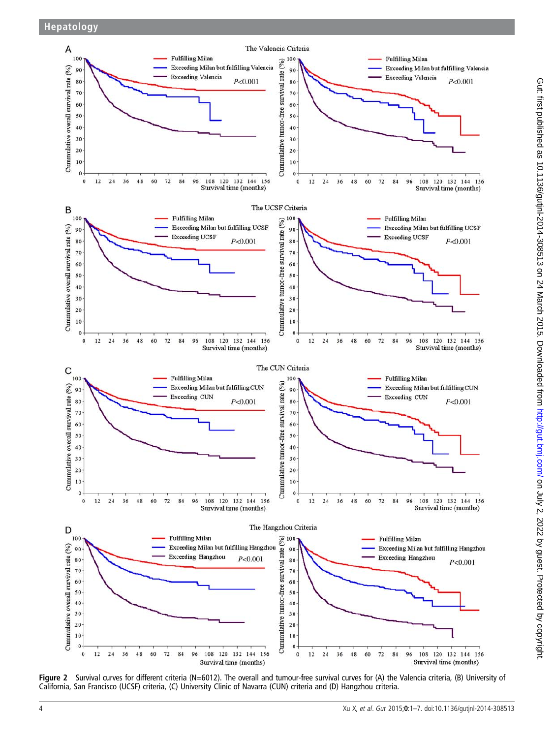<span id="page-3-0"></span>

Figure 2 Survival curves for different criteria (N=6012). The overall and tumour-free survival curves for (A) the Valencia criteria, (B) University of California, San Francisco (UCSF) criteria, (C) University Clinic of Navarra (CUN) criteria and (D) Hangzhou criteria.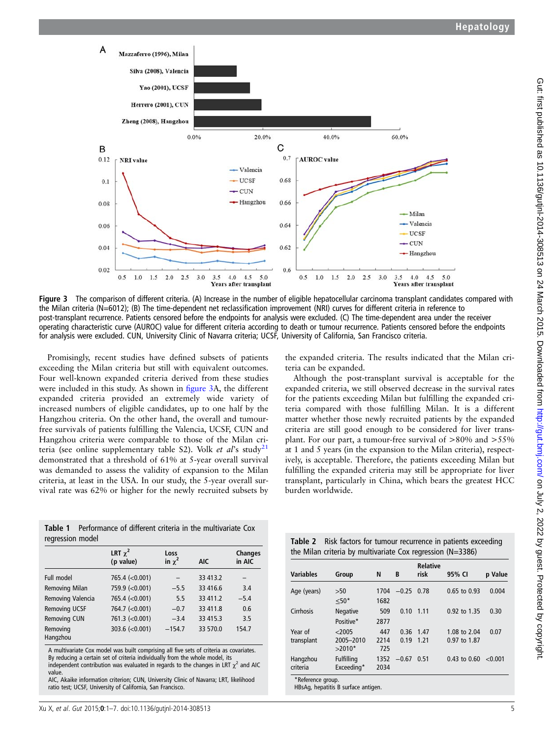<span id="page-4-0"></span>

Figure 3 The comparison of different criteria. (A) Increase in the number of eligible hepatocellular carcinoma transplant candidates compared with the Milan criteria (N=6012); (B) The time-dependent net reclassification improvement (NRI) curves for different criteria in reference to post-transplant recurrence. Patients censored before the endpoints for analysis were excluded. (C) The time-dependent area under the receiver operating characteristic curve (AUROC) value for different criteria according to death or tumour recurrence. Patients censored before the endpoints for analysis were excluded. CUN, University Clinic of Navarra criteria; UCSF, University of California, San Francisco criteria.

Promisingly, recent studies have defined subsets of patients exceeding the Milan criteria but still with equivalent outcomes. Four well-known expanded criteria derived from these studies were included in this study. As shown in figure 3A, the different expanded criteria provided an extremely wide variety of increased numbers of eligible candidates, up to one half by the Hangzhou criteria. On the other hand, the overall and tumourfree survivals of patients fulfilling the Valencia, UCSF, CUN and Hangzhou criteria were comparable to those of the Milan criteria (see online supplementary table S2). Volk et al's study<sup>21</sup> demonstrated that a threshold of 61% at 5-year overall survival was demanded to assess the validity of expansion to the Milan criteria, at least in the USA. In our study, the 5-year overall survival rate was 62% or higher for the newly recruited subsets by

the expanded criteria. The results indicated that the Milan criteria can be expanded.

Although the post-transplant survival is acceptable for the expanded criteria, we still observed decrease in the survival rates for the patients exceeding Milan but fulfilling the expanded criteria compared with those fulfilling Milan. It is a different matter whether those newly recruited patients by the expanded criteria are still good enough to be considered for liver transplant. For our part, a tumour-free survival of >80% and >55% at 1 and 5 years (in the expansion to the Milan criteria), respectively, is acceptable. Therefore, the patients exceeding Milan but fulfilling the expanded criteria may still be appropriate for liver transplant, particularly in China, which bears the greatest HCC burden worldwide.

|                  | <b>Table 1</b> Performance of different criteria in the multivariate Cox |
|------------------|--------------------------------------------------------------------------|
| regression model |                                                                          |

|                       | LRT $\chi^2$<br>(p value) | Loss<br>in $\chi^2$ | <b>AIC</b> | <b>Changes</b><br>in AIC |  |  |
|-----------------------|---------------------------|---------------------|------------|--------------------------|--|--|
| Full model            | 765.4 (< 0.001)           |                     | 33 413.2   |                          |  |  |
| <b>Removing Milan</b> | 759.9 (< 0.001)           | $-5.5$              | 33 416.6   | 3.4                      |  |  |
| Removing Valencia     | 765.4 (< 0.001)           | 5.5                 | 33 411.2   | $-5.4$                   |  |  |
| <b>Removing UCSF</b>  | 764.7 (< 0.001)           | $-0.7$              | 33 411.8   | 0.6                      |  |  |
| <b>Removing CUN</b>   | $761.3$ (<0.001)          | $-3.4$              | 33 415.3   | 3.5                      |  |  |
| Removing<br>Hangzhou  | $303.6$ (<0.001)          | $-154.7$            | 33 570.0   | 154.7                    |  |  |

A multivariate Cox model was built comprising all five sets of criteria as covariates. By reducing a certain set of criteria individually from the whole model, its independent contribution was evaluated in regards to the changes in LRT  $\chi^2$  and AIC value.

AIC, Akaike information criterion; CUN, University Clinic of Navarra; LRT, likelihood ratio test; UCSF, University of California, San Francisco.

| <b>Table 2</b> Risk factors for tumour recurrence in patients exceeding |
|-------------------------------------------------------------------------|
| the Milan criteria by multivariate Cox regression $(N=3386)$            |

| <b>Variables</b>     | Group                           | N            | B       | <b>Relative</b><br>risk | 95% CI           | p Value |
|----------------------|---------------------------------|--------------|---------|-------------------------|------------------|---------|
| Age (years)          | >50                             | 1704         | $-0.25$ | 0.78                    | $0.65$ to $0.93$ | 0.004   |
| Cirrhosis            | $< 50*$<br>Negative             | 1682<br>509  | 0.10    | 1.11                    | 0.92 to 1.35     | 0.30    |
| Year of              | Positive*<br>$<$ 2005           | 2877<br>447  | 0.36    | 1.47                    | 1.08 to 2.04     | 0.07    |
| transplant           | 2005-2010<br>$>2010*$           | 2214<br>725  | 0.19    | 1.21                    | 0.97 to 1.87     |         |
| Hangzhou<br>criteria | <b>Fulfilling</b><br>Exceeding* | 1352<br>2034 | $-0.67$ | 0.51                    | $0.43$ to $0.60$ | < 0.001 |

\*Reference group.

HBsAg, hepatitis B surface antigen.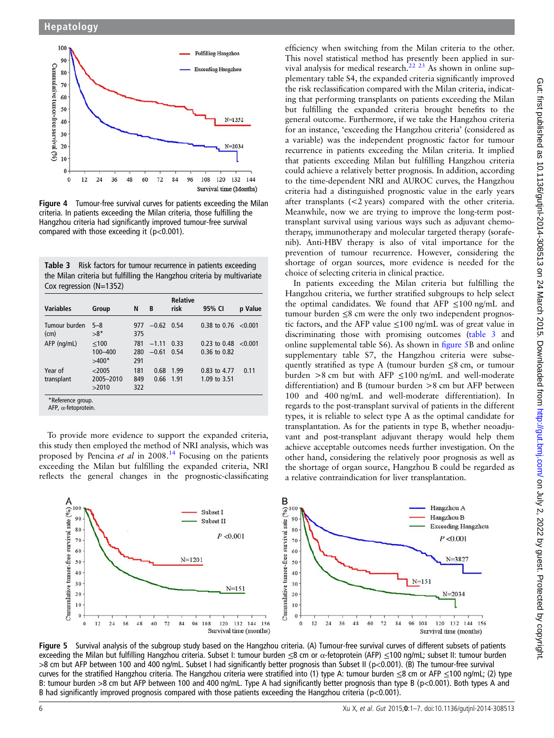<span id="page-5-0"></span>

Figure 4 Tumour-free survival curves for patients exceeding the Milan criteria. In patients exceeding the Milan criteria, those fulfilling the Hangzhou criteria had significantly improved tumour-free survival compared with those exceeding it  $(p<0.001)$ .

| Table 3 Risk factors for tumour recurrence in patients exceeding        |
|-------------------------------------------------------------------------|
| the Milan criteria but fulfilling the Hangzhou criteria by multivariate |
| Cox regression $(N=1352)$                                               |

|                                                  |                                 |                   |                    | <b>Relative</b> |                                  |         |
|--------------------------------------------------|---------------------------------|-------------------|--------------------|-----------------|----------------------------------|---------|
| <b>Variables</b>                                 | Group                           | N                 | B                  | risk            | 95% CI                           | p Value |
| Tumour burden<br>(cm)                            | $5 - 8$<br>$>8*$                | 977<br>375        | $-0.62$ 0.54       |                 | $0.38$ to 0.76 < 0.001           |         |
| $AFP$ (ng/mL)                                    | < 100<br>$100 - 400$<br>$>400*$ | 781<br>280<br>291 | $-1.11$<br>$-0.61$ | 0.33<br>0.54    | $0.23$ to $0.48$<br>0.36 to 0.82 | < 0.001 |
| Year of<br>transplant                            | $<$ 2005<br>2005-2010<br>>2010  | 181<br>849<br>322 | 0.68<br>0.66       | 1.99<br>1.91    | 0.83 to 4.77<br>1.09 to 3.51     | 0.11    |
| *Reference group.<br>AFP, $\alpha$ -fetoprotein. |                                 |                   |                    |                 |                                  |         |

To provide more evidence to support the expanded criteria, this study then employed the method of NRI analysis, which was proposed by Pencina et al in  $2008<sup>14</sup>$  Focusing on the patients exceeding the Milan but fulfilling the expanded criteria, NRI reflects the general changes in the prognostic-classificating



Figure 5 Survival analysis of the subgroup study based on the Hangzhou criteria. (A) Tumour-free survival curves of different subsets of patients exceeding the Milan but fulfilling Hangzhou criteria. Subset I: tumour burden  $\leq 8$  cm or  $\alpha$ -fetoprotein (AFP)  $\leq 100$  ng/mL; subset II: tumour burden  $>8$  cm but AFP between 100 and 400 ng/mL. Subset I had significantly better prognosis than Subset II ( $p<0.001$ ). (B) The tumour-free survival curves for the stratified Hangzhou criteria. The Hangzhou criteria were stratified into (1) type A: tumour burden ≤8 cm or AFP ≤100 ng/mL; (2) type B: tumour burden >8 cm but AFP between 100 and 400 ng/mL. Type A had significantly better prognosis than type B (p<0.001). Both types A and B had significantly improved prognosis compared with those patients exceeding the Hangzhou criteria (p<0.001).

efficiency when switching from the Milan criteria to the other. This novel statistical method has presently been applied in sur-vival analysis for medical research.<sup>[22 23](#page-6-0)</sup> As shown in online supplementary table S4, the expanded criteria significantly improved the risk reclassification compared with the Milan criteria, indicating that performing transplants on patients exceeding the Milan but fulfilling the expanded criteria brought benefits to the general outcome. Furthermore, if we take the Hangzhou criteria for an instance, 'exceeding the Hangzhou criteria' (considered as a variable) was the independent prognostic factor for tumour recurrence in patients exceeding the Milan criteria. It implied that patients exceeding Milan but fulfilling Hangzhou criteria could achieve a relatively better prognosis. In addition, according to the time-dependent NRI and AUROC curves, the Hangzhou criteria had a distinguished prognostic value in the early years after transplants (<2 years) compared with the other criteria. Meanwhile, now we are trying to improve the long-term posttransplant survival using various ways such as adjuvant chemotherapy, immunotherapy and molecular targeted therapy (sorafenib). Anti-HBV therapy is also of vital importance for the prevention of tumour recurrence. However, considering the shortage of organ sources, more evidence is needed for the choice of selecting criteria in clinical practice.

In patients exceeding the Milan criteria but fulfilling the Hangzhou criteria, we further stratified subgroups to help select the optimal candidates. We found that AFP ≤100 ng/mL and tumour burden ≤8 cm were the only two independent prognostic factors, and the AFP value ≤100 ng/mL was of great value in discriminating those with promising outcomes (table 3 and online supplemental table S6). As shown in figure 5B and online supplementary table S7, the Hangzhou criteria were subsequently stratified as type A (tumour burden  $\leq 8$  cm, or tumour burden  $>8$  cm but with AFP  $\leq 100$  ng/mL and well-moderate differentiation) and B (tumour burden >8 cm but AFP between 100 and 400 ng/mL and well-moderate differentiation). In regards to the post-transplant survival of patients in the different types, it is reliable to select type A as the optimal candidate for transplantation. As for the patients in type B, whether neoadjuvant and post-transplant adjuvant therapy would help them achieve acceptable outcomes needs further investigation. On the other hand, considering the relatively poor prognosis as well as the shortage of organ source, Hangzhou B could be regarded as a relative contraindication for liver transplantation.